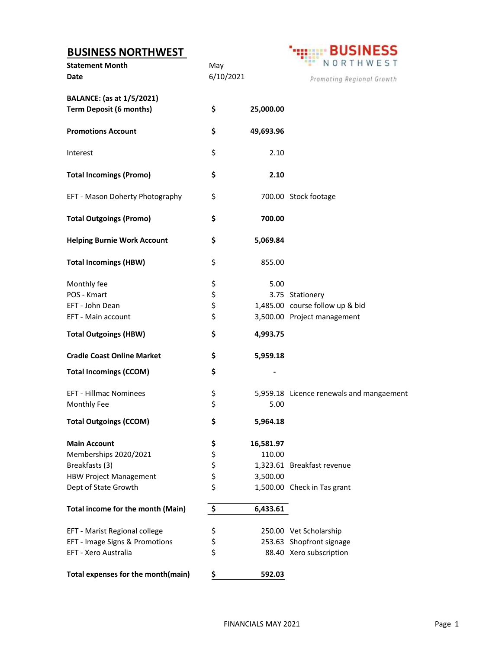## BUSINESS NORTHWEST

| <b>BUSINESS NORTHWEST</b><br><b>Statement Month</b><br>Date        | May<br>6/10/2021                             |           | <b>BUSINESS</b><br>NORTHWEST<br>Promoting Regional Growth |
|--------------------------------------------------------------------|----------------------------------------------|-----------|-----------------------------------------------------------|
| <b>BALANCE:</b> (as at 1/5/2021)<br><b>Term Deposit (6 months)</b> | \$                                           | 25,000.00 |                                                           |
| <b>Promotions Account</b>                                          | \$                                           | 49,693.96 |                                                           |
| Interest                                                           | \$                                           | 2.10      |                                                           |
| <b>Total Incomings (Promo)</b>                                     | \$                                           | 2.10      |                                                           |
| EFT - Mason Doherty Photography                                    | \$                                           |           | 700.00 Stock footage                                      |
| <b>Total Outgoings (Promo)</b>                                     | \$                                           | 700.00    |                                                           |
| <b>Helping Burnie Work Account</b>                                 | \$                                           | 5,069.84  |                                                           |
| <b>Total Incomings (HBW)</b>                                       | \$                                           | 855.00    |                                                           |
| Monthly fee                                                        |                                              | 5.00      |                                                           |
| POS - Kmart                                                        | \$<br>\$                                     |           | 3.75 Stationery                                           |
| EFT - John Dean                                                    | \$                                           |           | 1,485.00 course follow up & bid                           |
| EFT - Main account                                                 | \$                                           |           | 3,500.00 Project management                               |
| <b>Total Outgoings (HBW)</b>                                       | \$                                           | 4,993.75  |                                                           |
| <b>Cradle Coast Online Market</b>                                  | \$                                           | 5,959.18  |                                                           |
| <b>Total Incomings (CCOM)</b>                                      | \$                                           |           |                                                           |
| <b>EFT - Hillmac Nominees</b>                                      | \$                                           |           | 5,959.18 Licence renewals and mangaement                  |
| Monthly Fee                                                        | \$                                           | 5.00      |                                                           |
| <b>Total Outgoings (CCOM)</b>                                      | \$                                           | 5,964.18  |                                                           |
| <b>Main Account</b>                                                | \$                                           | 16,581.97 |                                                           |
| Memberships 2020/2021                                              | \$                                           | 110.00    |                                                           |
| Breakfasts (3)                                                     |                                              |           | 1,323.61 Breakfast revenue                                |
| <b>HBW Project Management</b>                                      | $\begin{array}{c}\n5 \\ 5 \\ 5\n\end{array}$ | 3,500.00  |                                                           |
| Dept of State Growth                                               |                                              |           | 1,500.00 Check in Tas grant                               |
| Total income for the month (Main)                                  | \$                                           | 6,433.61  |                                                           |
| EFT - Marist Regional college                                      | \$                                           |           | 250.00 Vet Scholarship                                    |
| EFT - Image Signs & Promotions                                     | \$                                           |           | 253.63 Shopfront signage                                  |
| EFT - Xero Australia                                               | \$                                           |           | 88.40 Xero subscription                                   |
|                                                                    |                                              |           |                                                           |

Total expenses for the month(main)  $\frac{\xi}{\xi}$  592.03